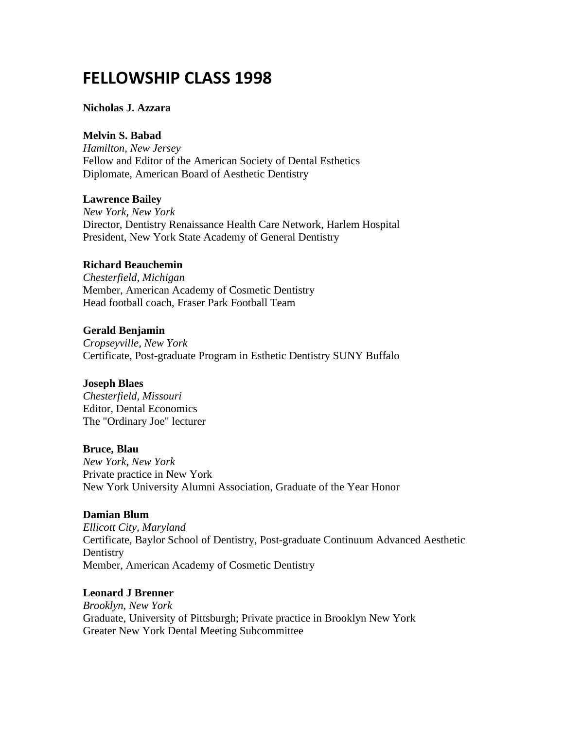# **FELLOWSHIP CLASS 1998**

#### **Nicholas J. Azzara**

#### **Melvin S. Babad**

*Hamilton, New Jersey* Fellow and Editor of the American Society of Dental Esthetics Diplomate, American Board of Aesthetic Dentistry

#### **Lawrence Bailey**

*New York, New York* Director, Dentistry Renaissance Health Care Network, Harlem Hospital President, New York State Academy of General Dentistry

#### **Richard Beauchemin**

*Chesterfield, Michigan* Member, American Academy of Cosmetic Dentistry Head football coach, Fraser Park Football Team

#### **Gerald Benjamin**

*Cropseyville, New York* Certificate, Post-graduate Program in Esthetic Dentistry SUNY Buffalo

#### **Joseph Blaes**

*Chesterfield, Missouri* Editor, Dental Economics The "Ordinary Joe" lecturer

#### **Bruce, Blau**

*New York, New York* Private practice in New York New York University Alumni Association, Graduate of the Year Honor

#### **Damian Blum**

*Ellicott City, Maryland* Certificate, Baylor School of Dentistry, Post-graduate Continuum Advanced Aesthetic **Dentistry** Member, American Academy of Cosmetic Dentistry

#### **Leonard J Brenner**

*Brooklyn, New York* Graduate, University of Pittsburgh; Private practice in Brooklyn New York Greater New York Dental Meeting Subcommittee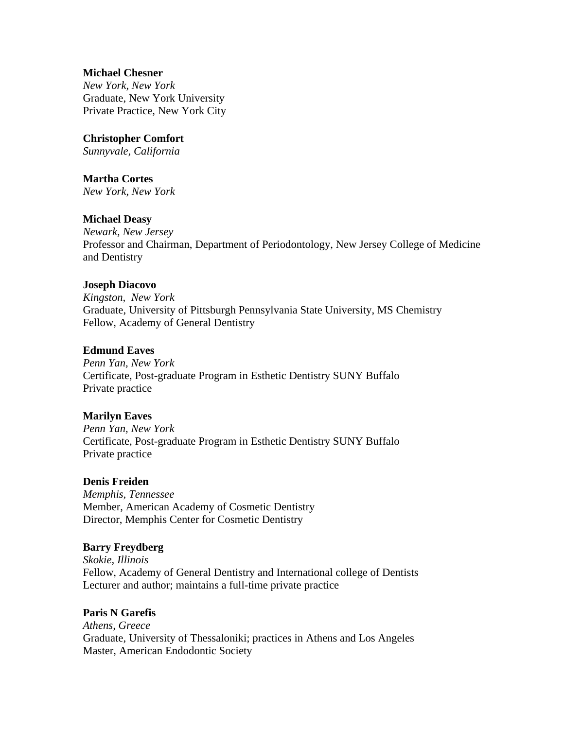#### **Michael Chesner**

*New York, New York* Graduate, New York University Private Practice, New York City

# **Christopher Comfort**

*Sunnyvale, California*

# **Martha Cortes**

*New York, New York*

# **Michael Deasy**

*Newark, New Jersey* Professor and Chairman, Department of Periodontology, New Jersey College of Medicine and Dentistry

#### **Joseph Diacovo**

*Kingston, New York* Graduate, University of Pittsburgh Pennsylvania State University, MS Chemistry Fellow, Academy of General Dentistry

#### **Edmund Eaves**

*Penn Yan, New York* Certificate, Post-graduate Program in Esthetic Dentistry SUNY Buffalo Private practice

#### **Marilyn Eaves**

*Penn Yan, New York* Certificate, Post-graduate Program in Esthetic Dentistry SUNY Buffalo Private practice

#### **Denis Freiden**

*Memphis, Tennessee* Member, American Academy of Cosmetic Dentistry Director, Memphis Center for Cosmetic Dentistry

#### **Barry Freydberg**

*Skokie, Illinois* Fellow, Academy of General Dentistry and International college of Dentists Lecturer and author; maintains a full-time private practice

#### **Paris N Garefis**

*Athens, Greece* Graduate, University of Thessaloniki; practices in Athens and Los Angeles Master, American Endodontic Society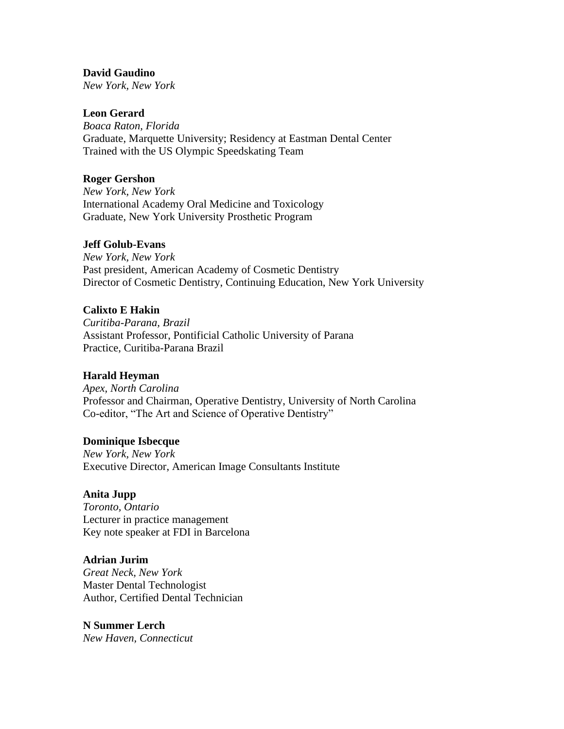#### **David Gaudino**

*New York, New York*

# **Leon Gerard**

*Boaca Raton, Florida* Graduate, Marquette University; Residency at Eastman Dental Center Trained with the US Olympic Speedskating Team

#### **Roger Gershon**

*New York, New York* International Academy Oral Medicine and Toxicology Graduate, New York University Prosthetic Program

#### **Jeff Golub-Evans**

*New York, New York* Past president, American Academy of Cosmetic Dentistry Director of Cosmetic Dentistry, Continuing Education, New York University

#### **Calixto E Hakin**

*Curitiba-Parana, Brazil* Assistant Professor, Pontificial Catholic University of Parana Practice, Curitiba-Parana Brazil

#### **Harald Heyman**

*Apex, North Carolina* Professor and Chairman, Operative Dentistry, University of North Carolina Co-editor, "The Art and Science of Operative Dentistry"

#### **Dominique Isbecque**

*New York, New York* Executive Director, American Image Consultants Institute

#### **Anita Jupp**

*Toronto, Ontario* Lecturer in practice management Key note speaker at FDI in Barcelona

#### **Adrian Jurim**

*Great Neck, New York* Master Dental Technologist Author, Certified Dental Technician

#### **N Summer Lerch**

*New Haven, Connecticut*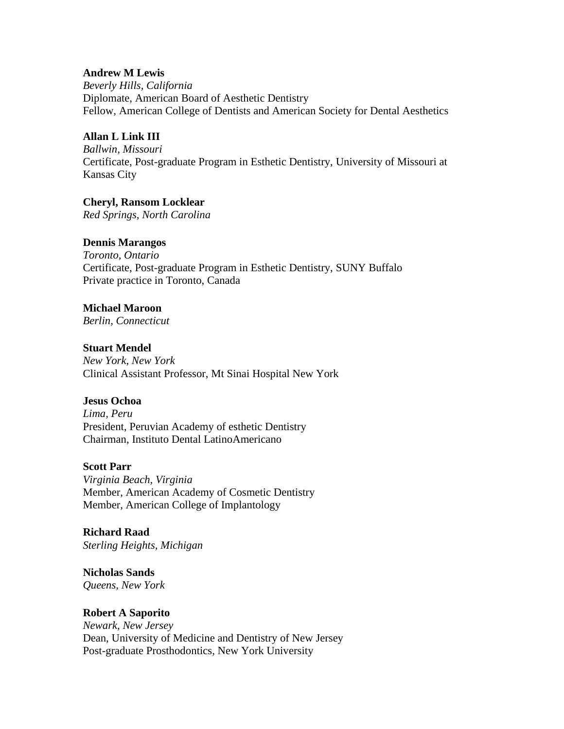#### **Andrew M Lewis**

*Beverly Hills, California* Diplomate, American Board of Aesthetic Dentistry Fellow, American College of Dentists and American Society for Dental Aesthetics

# **Allan L Link III**

*Ballwin, Missouri* Certificate, Post-graduate Program in Esthetic Dentistry, University of Missouri at Kansas City

# **Cheryl, Ransom Locklear**

*Red Springs, North Carolina*

# **Dennis Marangos**

*Toronto, Ontario* Certificate, Post-graduate Program in Esthetic Dentistry, SUNY Buffalo Private practice in Toronto, Canada

#### **Michael Maroon**

*Berlin, Connecticut*

# **Stuart Mendel**

*New York, New York* Clinical Assistant Professor, Mt Sinai Hospital New York

#### **Jesus Ochoa**

*Lima, Peru* President, Peruvian Academy of esthetic Dentistry Chairman, Instituto Dental LatinoAmericano

#### **Scott Parr**

*Virginia Beach, Virginia* Member, American Academy of Cosmetic Dentistry Member, American College of Implantology

# **Richard Raad**

*Sterling Heights, Michigan*

**Nicholas Sands** *Queens, New York*

#### **Robert A Saporito**

*Newark, New Jersey* Dean, University of Medicine and Dentistry of New Jersey Post-graduate Prosthodontics, New York University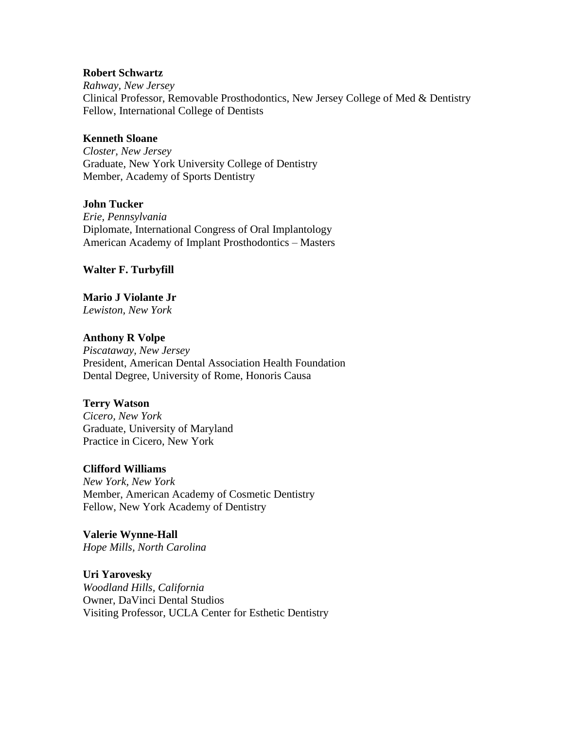#### **Robert Schwartz**

*Rahway, New Jersey* Clinical Professor, Removable Prosthodontics, New Jersey College of Med & Dentistry Fellow, International College of Dentists

#### **Kenneth Sloane**

*Closter, New Jersey* Graduate, New York University College of Dentistry Member, Academy of Sports Dentistry

#### **John Tucker**

*Erie, Pennsylvania* Diplomate, International Congress of Oral Implantology American Academy of Implant Prosthodontics – Masters

#### **Walter F. Turbyfill**

**Mario J Violante Jr** *Lewiston, New York*

#### **Anthony R Volpe**

*Piscataway, New Jersey* President, American Dental Association Health Foundation Dental Degree, University of Rome, Honoris Causa

#### **Terry Watson**

*Cicero, New York* Graduate, University of Maryland Practice in Cicero, New York

#### **Clifford Williams**

*New York, New York* Member, American Academy of Cosmetic Dentistry Fellow, New York Academy of Dentistry

**Valerie Wynne-Hall** *Hope Mills, North Carolina*

**Uri Yarovesky** *Woodland Hills, California* Owner, DaVinci Dental Studios Visiting Professor, UCLA Center for Esthetic Dentistry